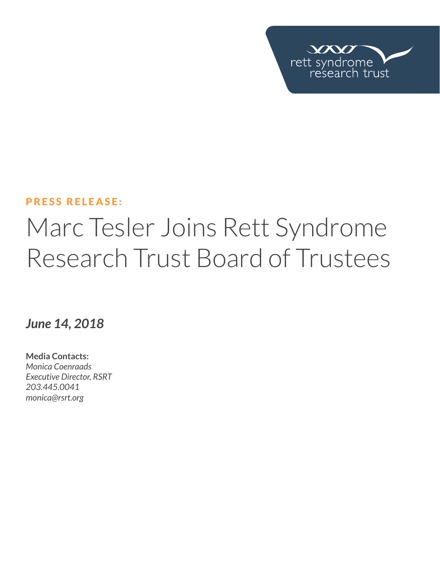

## PRESS RELEASE:

## Marc Tesler Joins Rett Syndrome Research Trust Board of Trustees

*June 14, 2018*

**Media Contacts:**  *Monica Coenraads Executive Director, RSRT 203.445.0041 [monica@rsrt.org](mailto:monica%40rsrt.org?subject=Press%20Release%20%7C%20CSO%20Announce)*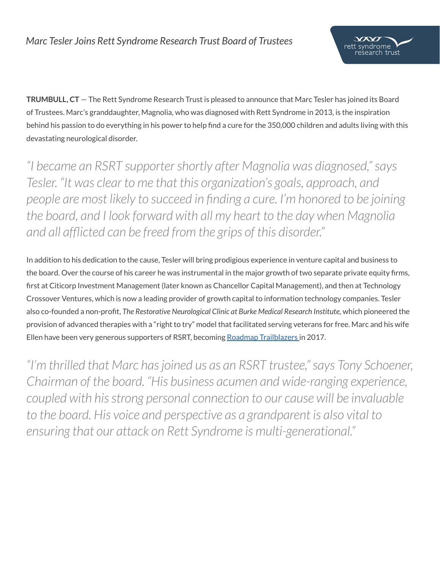

**TRUMBULL, CT** — The Rett Syndrome Research Trust is pleased to announce that Marc Tesler has joined its Board of Trustees. Marc's granddaughter, Magnolia, who was diagnosed with Rett Syndrome in 2013, is the inspiration behind his passion to do everything in his power to help find a cure for the 350,000 children and adults living with this devastating neurological disorder.

*"I became an RSRT supporter shortly after Magnolia was diagnosed," says Tesler. "It was clear to me that this organization's goals, approach, and people are most likely to succeed in finding a cure. I'm honored to be joining the board, and I look forward with all my heart to the day when Magnolia and all afflicted can be freed from the grips of this disorder."*

In addition to his dedication to the cause, Tesler will bring prodigious experience in venture capital and business to the board. Over the course of his career he was instrumental in the major growth of two separate private equity firms, first at Citicorp Investment Management (later known as Chancellor Capital Management), and then at Technology Crossover Ventures, which is now a leading provider of growth capital to information technology companies. Tesler also co-founded a non-profit, *The Restorative Neurological Clinic at Burke Medical Research Institute,* which pioneered the provision of advanced therapies with a "right to try" model that facilitated serving veterans for free. Marc and his wife Ellen have been very generous supporters of RSRT, becoming [Roadmap Trailblazers i](https://reverserett.org/trailblazers/)n 2017.

*"I'm thrilled that Marc has joined us as an RSRT trustee," says Tony Schoener, Chairman of the board. "His business acumen and wide-ranging experience, coupled with his strong personal connection to our cause will be invaluable to the board. His voice and perspective as a grandparent is also vital to ensuring that our attack on Rett Syndrome is multi-generational."*